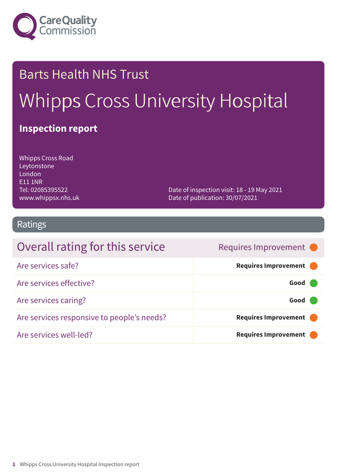

# Barts Health NHS Trust Whipps Cross University Hospital

### **Inspection report**

Whipps Cross Road Leytonstone London E11 1NR Tel: 02085395522 www.whippsx.nhs.uk

Date of inspection visit: 18 - 19 May 2021 Date of publication: 30/07/2021

### Ratings

| Overall rating for this service            | Requires Improvement •      |
|--------------------------------------------|-----------------------------|
| Are services safe?                         | Requires Improvement        |
| Are services effective?                    | Good                        |
| Are services caring?                       | Good                        |
| Are services responsive to people's needs? | Requires Improvement        |
| Are services well-led?                     | <b>Requires Improvement</b> |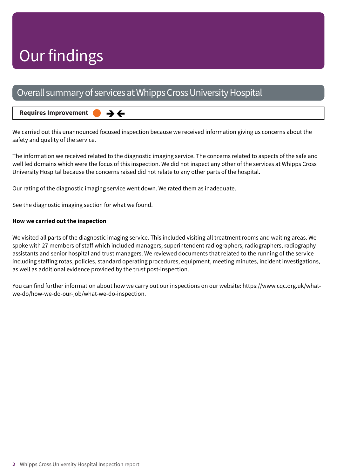## Our findings

### Overall summary of services at Whipps Cross University Hospital

#### **Requires Improvement –––**

We carried out this unannounced focused inspection because we received information giving us concerns about the safety and quality of the service.

The information we received related to the diagnostic imaging service. The concerns related to aspects of the safe and well led domains which were the focus of this inspection. We did not inspect any other of the services at Whipps Cross University Hospital because the concerns raised did not relate to any other parts of the hospital.

Our rating of the diagnostic imaging service went down. We rated them as inadequate.

→←

See the diagnostic imaging section for what we found.

#### **How we carried out the inspection**

We visited all parts of the diagnostic imaging service. This included visiting all treatment rooms and waiting areas. We spoke with 27 members of staff which included managers, superintendent radiographers, radiographers, radiography assistants and senior hospital and trust managers. We reviewed documents that related to the running of the service including staffing rotas, policies, standard operating procedures, equipment, meeting minutes, incident investigations, as well as additional evidence provided by the trust post-inspection.

You can find further information about how we carry out our inspections on our website: https://www.cqc.org.uk/whatwe-do/how-we-do-our-job/what-we-do-inspection.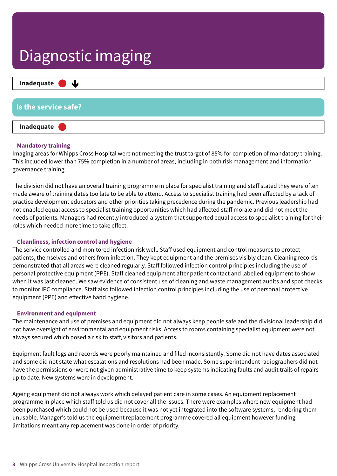

#### **Mandatory training**

Imaging areas for Whipps Cross Hospital were not meeting the trust target of 85% for completion of mandatory training. This included lower than 75% completion in a number of areas, including in both risk management and information governance training.

The division did not have an overall training programme in place for specialist training and staff stated they were often made aware of training dates too late to be able to attend. Access to specialist training had been affected by a lack of practice development educators and other priorities taking precedence during the pandemic. Previous leadership had not enabled equal access to specialist training opportunities which had affected staff morale and did not meet the needs of patients. Managers had recently introduced a system that supported equal access to specialist training for their roles which needed more time to take effect.

#### **Cleanliness, infection control and hygiene**

The service controlled and monitored infection risk well. Staff used equipment and control measures to protect patients, themselves and others from infection. They kept equipment and the premises visibly clean. Cleaning records demonstrated that all areas were cleaned regularly. Staff followed infection control principles including the use of personal protective equipment (PPE). Staff cleaned equipment after patient contact and labelled equipment to show when it was last cleaned. We saw evidence of consistent use of cleaning and waste management audits and spot checks to monitor IPC compliance. Staff also followed infection control principles including the use of personal protective equipment (PPE) and effective hand hygiene.

#### **Environment and equipment**

The maintenance and use of premises and equipment did not always keep people safe and the divisional leadership did not have oversight of environmental and equipment risks. Access to rooms containing specialist equipment were not always secured which posed a risk to staff, visitors and patients.

Equipment fault logs and records were poorly maintained and filed inconsistently. Some did not have dates associated and some did not state what escalations and resolutions had been made. Some superintendent radiographers did not have the permissions or were not given administrative time to keep systems indicating faults and audit trails of repairs up to date. New systems were in development.

Ageing equipment did not always work which delayed patient care in some cases. An equipment replacement programme in place which staff told us did not cover all the issues. There were examples where new equipment had been purchased which could not be used because it was not yet integrated into the software systems, rendering them unusable. Manager's told us the equipment replacement programme covered all equipment however funding limitations meant any replacement was done in order of priority.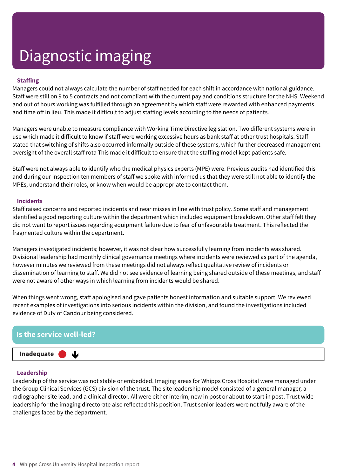#### **Staffing**

Managers could not always calculate the number of staff needed for each shift in accordance with national guidance. Staff were still on 9 to 5 contracts and not compliant with the current pay and conditions structure for the NHS. Weekend and out of hours working was fulfilled through an agreement by which staff were rewarded with enhanced payments and time off in lieu. This made it difficult to adjust staffing levels according to the needs of patients.

Managers were unable to measure compliance with Working Time Directive legislation. Two different systems were in use which made it difficult to know if staff were working excessive hours as bank staff at other trust hospitals. Staff stated that switching of shifts also occurred informally outside of these systems, which further decreased management oversight of the overall staff rota This made it difficult to ensure that the staffing model kept patients safe.

Staff were not always able to identify who the medical physics experts (MPE) were. Previous audits had identified this and during our inspection ten members of staff we spoke with informed us that they were still not able to identify the MPEs, understand their roles, or know when would be appropriate to contact them.

#### **Incidents**

Staff raised concerns and reported incidents and near misses in line with trust policy. Some staff and management identified a good reporting culture within the department which included equipment breakdown. Other staff felt they did not want to report issues regarding equipment failure due to fear of unfavourable treatment. This reflected the fragmented culture within the department.

Managers investigated incidents; however, it was not clear how successfully learning from incidents was shared. Divisional leadership had monthly clinical governance meetings where incidents were reviewed as part of the agenda, however minutes we reviewed from these meetings did not always reflect qualitative review of incidents or dissemination of learning to staff. We did not see evidence of learning being shared outside of these meetings, and staff were not aware of other ways in which learning from incidents would be shared.

When things went wrong, staff apologised and gave patients honest information and suitable support. We reviewed recent examples of investigations into serious incidents within the division, and found the investigations included evidence of Duty of Candour being considered.

#### **Is the service well-led?**

J

**Inadequate –––**

#### **Leadership**

Leadership of the service was not stable or embedded. Imaging areas for Whipps Cross Hospital were managed under the Group Clinical Services (GCS) division of the trust. The site leadership model consisted of a general manager, a radiographer site lead, and a clinical director. All were either interim, new in post or about to start in post. Trust wide leadership for the imaging directorate also reflected this position. Trust senior leaders were not fully aware of the challenges faced by the department.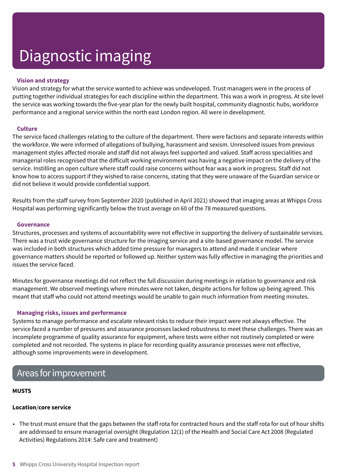#### **Vision and strategy**

Vision and strategy for what the service wanted to achieve was undeveloped. Trust managers were in the process of putting together individual strategies for each discipline within the department. This was a work in progress. At site level the service was working towards the five-year plan for the newly built hospital, community diagnostic hubs, workforce performance and a regional service within the north east London region. All were in development.

#### **Culture**

The service faced challenges relating to the culture of the department. There were factions and separate interests within the workforce. We were informed of allegations of bullying, harassment and sexism. Unresolved issues from previous management styles affected morale and staff did not always feel supported and valued. Staff across specialities and managerial roles recognised that the difficult working environment was having a negative impact on the delivery of the service. Instilling an open culture where staff could raise concerns without fear was a work in progress. Staff did not know how to access support if they wished to raise concerns, stating that they were unaware of the Guardian service or did not believe it would provide confidential support.

Results from the staff survey from September 2020 (published in April 2021) showed that imaging areas at Whipps Cross Hospital was performing significantly below the trust average on 60 of the 78 measured questions.

#### **Governance**

Structures, processes and systems of accountability were not effective in supporting the delivery of sustainable services. There was a trust wide governance structure for the imaging service and a site-based governance model. The service was included in both structures which added time pressure for managers to attend and made it unclear where governance matters should be reported or followed up. Neither system was fully effective in managing the priorities and issues the service faced.

Minutes for governance meetings did not reflect the full discussion during meetings in relation to governance and risk management. We observed meetings where minutes were not taken, despite actions for follow up being agreed. This meant that staff who could not attend meetings would be unable to gain much information from meeting minutes.

#### **Managing risks, issues and performance**

Systems to manage performance and escalate relevant risks to reduce their impact were not always effective. The service faced a number of pressures and assurance processes lacked robustness to meet these challenges. There was an incomplete programme of quality assurance for equipment, where tests were either not routinely completed or were completed and not recorded. The systems in place for recording quality assurance processes were not effective, although some improvements were in development.

### Areas for improvement

#### **MUSTS**

#### **Location**/**core service**

• The trust must ensure that the gaps between the staff rota for contracted hours and the staff rota for out of hour shifts are addressed to ensure managerial oversight (Regulation 12(1) of the Health and Social Care Act 2008 (Regulated Activities) Regulations 2014: Safe care and treatment)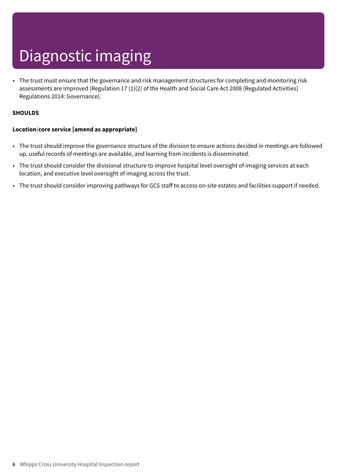• The trust must ensure that the governance and risk management structures for completing and monitoring risk assessments are improved (Regulation 17 (1)(2) of the Health and Social Care Act 2008 (Regulated Activities) Regulations 2014: Governance).

#### **SHOULDS**

#### **Location**/**core service [amend as appropriate]**

- The trust should improve the governance structure of the division to ensure actions decided in meetings are followed up, useful records of meetings are available, and learning from incidents is disseminated.
- The trust should consider the divisional structure to improve hospital level oversight of imaging services at each location, and executive level oversight of imaging across the trust.
- The trust should consider improving pathways for GCS staff to access on-site estates and facilities support if needed.